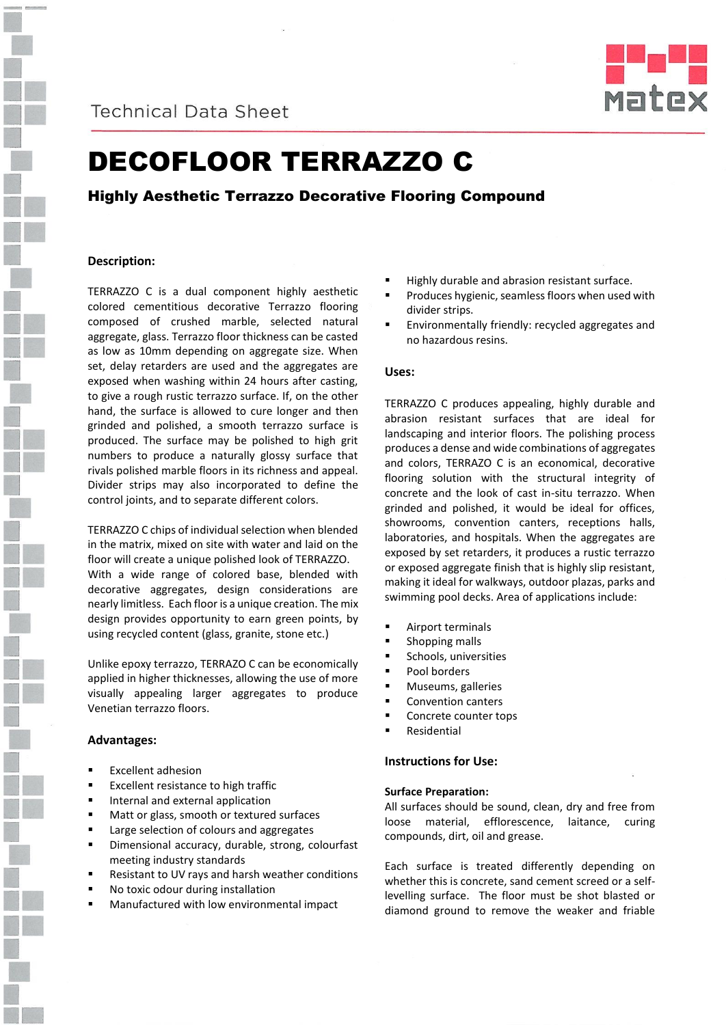

**Technical Data Sheet** 



# DECOFLOOR TERRAZZO C

# Highly Aesthetic Terrazzo Decorative Flooring Compound

# **Description:**

TERRAZZO C is a dual component highly aesthetic colored cementitious decorative Terrazzo flooring composed of crushed marble, selected natural aggregate, glass. Terrazzo floor thickness can be casted as low as 10mm depending on aggregate size. When set, delay retarders are used and the aggregates are exposed when washing within 24 hours after casting, to give a rough rustic terrazzo surface. If, on the other hand, the surface is allowed to cure longer and then grinded and polished, a smooth terrazzo surface is produced. The surface may be polished to high grit numbers to produce a naturally glossy surface that rivals polished marble floors in its richness and appeal. Divider strips may also incorporated to define the control joints, and to separate different colors.

TERRAZZO C chips of individual selection when blended in the matrix, mixed on site with water and laid on the floor will create a unique polished look of TERRAZZO. With a wide range of colored base, blended with decorative aggregates, design considerations are nearly limitless. Each floor is a unique creation. The mix design provides opportunity to earn green points, by using recycled content (glass, granite, stone etc.)

Unlike epoxy terrazzo, TERRAZO C can be economically applied in higher thicknesses, allowing the use of more visually appealing larger aggregates to produce Venetian terrazzo floors.

#### **Advantages:**

- Excellent adhesion
- Excellent resistance to high traffic
- Internal and external application
- Matt or glass, smooth or textured surfaces
- Large selection of colours and aggregates
- Dimensional accuracy, durable, strong, colourfast meeting industry standards
- Resistant to UV rays and harsh weather conditions
- No toxic odour during installation
- Manufactured with low environmental impact
- Highly durable and abrasion resistant surface.
- Produces hygienic, seamless floors when used with divider strips.
- Environmentally friendly: recycled aggregates and no hazardous resins.

## **Uses:**

TERRAZZO C produces appealing, highly durable and abrasion resistant surfaces that are ideal for landscaping and interior floors. The polishing process produces a dense and wide combinations of aggregates and colors, TERRAZO C is an economical, decorative flooring solution with the structural integrity of concrete and the look of cast in-situ terrazzo. When grinded and polished, it would be ideal for offices, showrooms, convention canters, receptions halls, laboratories, and hospitals. When the aggregates are exposed by set retarders, it produces a rustic terrazzo or exposed aggregate finish that is highly slip resistant, making it ideal for walkways, outdoor plazas, parks and swimming pool decks. Area of applications include:

- Airport terminals
- Shopping malls
- Schools, universities
- Pool borders
- Museums, galleries
- Convention canters
- Concrete counter tops
- Residential

# **Instructions for Use:**

## **Surface Preparation:**

All surfaces should be sound, clean, dry and free from loose material, efflorescence, laitance, curing compounds, dirt, oil and grease.

Each surface is treated differently depending on whether this is concrete, sand cement screed or a selflevelling surface. The floor must be shot blasted or diamond ground to remove the weaker and friable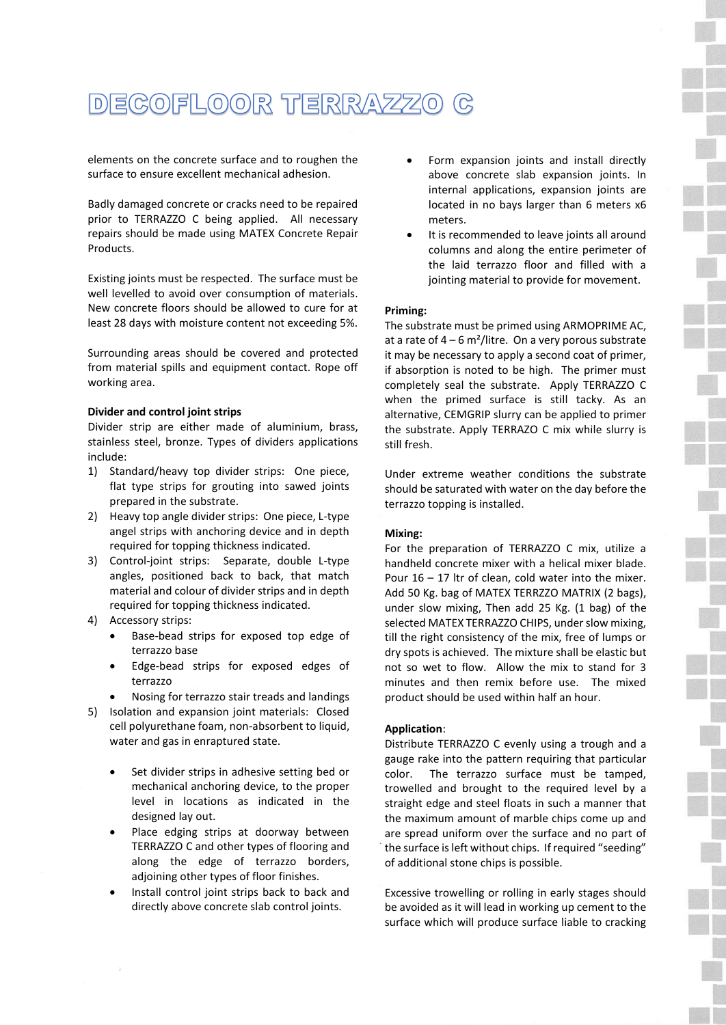# DEGOFLOOR TERRAZZO  $\mathbb{C}$

elements on the concrete surface and to roughen the surface to ensure excellent mechanical adhesion.

Badly damaged concrete or cracks need to be repaired prior to TERRAZZO C being applied. All necessary repairs should be made using MATEX Concrete Repair Products.

Existing joints must be respected. The surface must be well levelled to avoid over consumption of materials. New concrete floors should be allowed to cure for at least 28 days with moisture content not exceeding 5%.

Surrounding areas should be covered and protected from material spills and equipment contact. Rope off working area.

# **Divider and control joint strips**

Divider strip are either made of aluminium, brass, stainless steel, bronze. Types of dividers applications include:

- 1) Standard/heavy top divider strips: One piece, flat type strips for grouting into sawed joints prepared in the substrate.
- 2) Heavy top angle divider strips: One piece, L-type angel strips with anchoring device and in depth required for topping thickness indicated.
- 3) Control-joint strips: Separate, double L-type angles, positioned back to back, that match material and colour of divider strips and in depth required for topping thickness indicated.
- 4) Accessory strips:
	- Base-bead strips for exposed top edge of terrazzo base
	- Edge-bead strips for exposed edges of terrazzo
	- Nosing for terrazzo stair treads and landings
- 5) Isolation and expansion joint materials: Closed cell polyurethane foam, non-absorbent to liquid, water and gas in enraptured state.
	- Set divider strips in adhesive setting bed or mechanical anchoring device, to the proper level in locations as indicated in the designed lay out.
	- Place edging strips at doorway between TERRAZZO C and other types of flooring and along the edge of terrazzo borders, adjoining other types of floor finishes.
	- Install control joint strips back to back and directly above concrete slab control joints.
- Form expansion joints and install directly above concrete slab expansion joints. In internal applications, expansion joints are located in no bays larger than 6 meters x6 meters.
- It is recommended to leave joints all around columns and along the entire perimeter of the laid terrazzo floor and filled with a jointing material to provide for movement.

## **Priming:**

The substrate must be primed using ARMOPRIME AC, at a rate of  $4 - 6$  m<sup>2</sup>/litre. On a very porous substrate it may be necessary to apply a second coat of primer, if absorption is noted to be high. The primer must completely seal the substrate. Apply TERRAZZO C when the primed surface is still tacky. As an alternative, CEMGRIP slurry can be applied to primer the substrate. Apply TERRAZO C mix while slurry is still fresh.

Under extreme weather conditions the substrate should be saturated with water on the day before the terrazzo topping is installed.

#### **Mixing:**

For the preparation of TERRAZZO C mix, utilize a handheld concrete mixer with a helical mixer blade. Pour 16 – 17 ltr of clean, cold water into the mixer. Add 50 Kg. bag of MATEX TERRZZO MATRIX (2 bags), under slow mixing, Then add 25 Kg. (1 bag) of the selected MATEX TERRAZZO CHIPS, under slow mixing, till the right consistency of the mix, free of lumps or dry spots is achieved. The mixture shall be elastic but not so wet to flow. Allow the mix to stand for 3 minutes and then remix before use. The mixed product should be used within half an hour.

# **Application**:

Distribute TERRAZZO C evenly using a trough and a gauge rake into the pattern requiring that particular color. The terrazzo surface must be tamped, trowelled and brought to the required level by a straight edge and steel floats in such a manner that the maximum amount of marble chips come up and are spread uniform over the surface and no part of the surface is left without chips. If required "seeding" of additional stone chips is possible.

Excessive trowelling or rolling in early stages should be avoided as it will lead in working up cement to the surface which will produce surface liable to cracking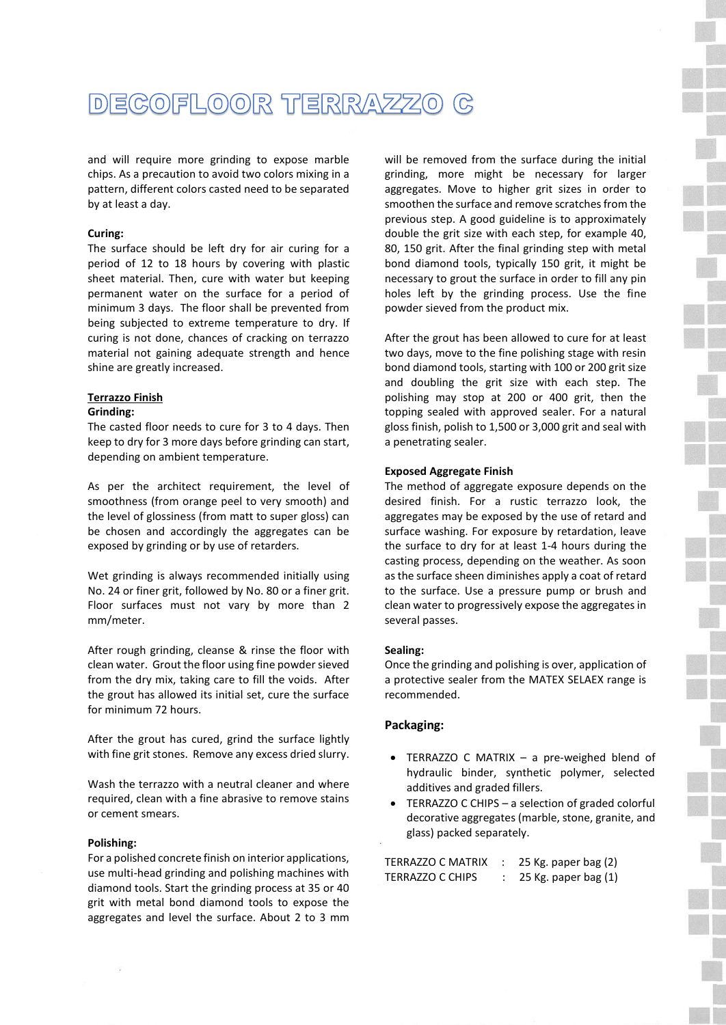

and will require more grinding to expose marble chips. As a precaution to avoid two colors mixing in a pattern, different colors casted need to be separated by at least a day.

# **Curing:**

The surface should be left dry for air curing for a period of 12 to 18 hours by covering with plastic sheet material. Then, cure with water but keeping permanent water on the surface for a period of minimum 3 days. The floor shall be prevented from being subjected to extreme temperature to dry. If curing is not done, chances of cracking on terrazzo material not gaining adequate strength and hence shine are greatly increased.

# **Terrazzo Finish**

## **Grinding:**

The casted floor needs to cure for 3 to 4 days. Then keep to dry for 3 more days before grinding can start, depending on ambient temperature.

As per the architect requirement, the level of smoothness (from orange peel to very smooth) and the level of glossiness (from matt to super gloss) can be chosen and accordingly the aggregates can be exposed by grinding or by use of retarders.

Wet grinding is always recommended initially using No. 24 or finer grit, followed by No. 80 or a finer grit. Floor surfaces must not vary by more than 2 mm/meter.

After rough grinding, cleanse & rinse the floor with clean water. Grout the floor using fine powder sieved from the dry mix, taking care to fill the voids. After the grout has allowed its initial set, cure the surface for minimum 72 hours.

After the grout has cured, grind the surface lightly with fine grit stones. Remove any excess dried slurry.

Wash the terrazzo with a neutral cleaner and where required, clean with a fine abrasive to remove stains or cement smears.

## **Polishing:**

For a polished concrete finish on interior applications, use multi-head grinding and polishing machines with diamond tools. Start the grinding process at 35 or 40 grit with metal bond diamond tools to expose the aggregates and level the surface. About 2 to 3 mm will be removed from the surface during the initial grinding, more might be necessary for larger aggregates. Move to higher grit sizes in order to smoothen the surface and remove scratches from the previous step. A good guideline is to approximately double the grit size with each step, for example 40, 80, 150 grit. After the final grinding step with metal bond diamond tools, typically 150 grit, it might be necessary to grout the surface in order to fill any pin holes left by the grinding process. Use the fine powder sieved from the product mix.

After the grout has been allowed to cure for at least two days, move to the fine polishing stage with resin bond diamond tools, starting with 100 or 200 grit size and doubling the grit size with each step. The polishing may stop at 200 or 400 grit, then the topping sealed with approved sealer. For a natural gloss finish, polish to 1,500 or 3,000 grit and seal with a penetrating sealer.

# **Exposed Aggregate Finish**

The method of aggregate exposure depends on the desired finish. For a rustic terrazzo look, the aggregates may be exposed by the use of retard and surface washing. For exposure by retardation, leave the surface to dry for at least 1-4 hours during the casting process, depending on the weather. As soon as the surface sheen diminishes apply a coat of retard to the surface. Use a pressure pump or brush and clean water to progressively expose the aggregates in several passes.

#### **Sealing:**

Once the grinding and polishing is over, application of a protective sealer from the MATEX SELAEX range is recommended.

# **Packaging:**

- TERRAZZO C MATRIX a pre-weighed blend of hydraulic binder, synthetic polymer, selected additives and graded fillers.
- TERRAZZO C CHIPS a selection of graded colorful decorative aggregates (marble, stone, granite, and glass) packed separately.

| TERRAZZO C MATRIX | 25 Kg. paper bag (2)   |
|-------------------|------------------------|
| TERRAZZO C CHIPS  | 25 Kg. paper bag $(1)$ |